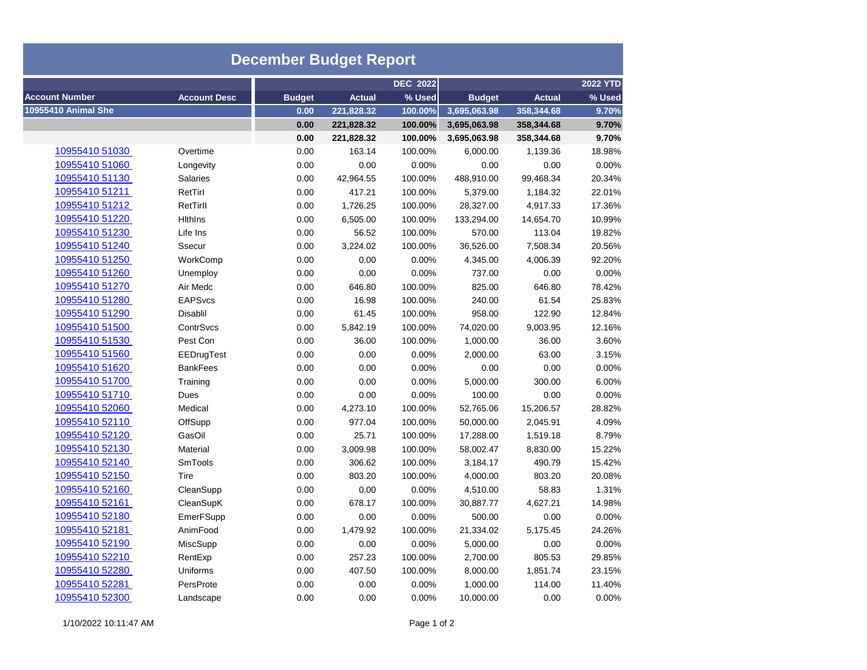| <b>December Budget Report</b> |                     |               |               |                 |                 |               |        |  |  |  |  |
|-------------------------------|---------------------|---------------|---------------|-----------------|-----------------|---------------|--------|--|--|--|--|
|                               |                     |               |               | <b>DEC 2022</b> | <b>2022 YTD</b> |               |        |  |  |  |  |
| <b>Account Number</b>         | <b>Account Desc</b> | <b>Budget</b> | <b>Actual</b> | % Used          | <b>Budget</b>   | <b>Actual</b> | % Used |  |  |  |  |
| <b>10955410 Animal She</b>    |                     | 0.00          | 221,828.32    | 100.00%         | 3,695,063.98    | 358,344.68    | 9.70%  |  |  |  |  |
|                               |                     | 0.00          | 221,828.32    | 100.00%         | 3,695,063.98    | 358,344.68    | 9.70%  |  |  |  |  |
|                               |                     | 0.00          | 221,828.32    | 100.00%         | 3,695,063.98    | 358,344.68    | 9.70%  |  |  |  |  |
| 10955410 51030                | Overtime            | 0.00          | 163.14        | 100.00%         | 6,000.00        | 1,139.36      | 18.98% |  |  |  |  |
| 10955410 51060                | Longevity           | 0.00          | 0.00          | 0.00%           | 0.00            | 0.00          | 0.00%  |  |  |  |  |
| 10955410 51130                | <b>Salaries</b>     | 0.00          | 42,964.55     | 100.00%         | 488,910.00      | 99,468.34     | 20.34% |  |  |  |  |
| 10955410 51211                | RetTirl             | 0.00          | 417.21        | 100.00%         | 5,379.00        | 1,184.32      | 22.01% |  |  |  |  |
| 10955410 51212                | RetTirll            | 0.00          | 1,726.25      | 100.00%         | 28,327.00       | 4,917.33      | 17.36% |  |  |  |  |
| 10955410 51220                | <b>Hithins</b>      | 0.00          | 6,505.00      | 100.00%         | 133,294.00      | 14,654.70     | 10.99% |  |  |  |  |
| 10955410 51230                | Life Ins            | 0.00          | 56.52         | 100.00%         | 570.00          | 113.04        | 19.82% |  |  |  |  |
| 10955410 51240                | Ssecur              | 0.00          | 3,224.02      | 100.00%         | 36,526.00       | 7,508.34      | 20.56% |  |  |  |  |
| 10955410 51250                | WorkComp            | 0.00          | 0.00          | 0.00%           | 4,345.00        | 4,006.39      | 92.20% |  |  |  |  |
| 10955410 51260                | Unemploy            | 0.00          | 0.00          | 0.00%           | 737.00          | 0.00          | 0.00%  |  |  |  |  |
| 10955410 51270                | Air Medc            | 0.00          | 646.80        | 100.00%         | 825.00          | 646.80        | 78.42% |  |  |  |  |
| 10955410 51280                | <b>EAPSvcs</b>      | 0.00          | 16.98         | 100.00%         | 240.00          | 61.54         | 25.83% |  |  |  |  |
| 10955410 51290                | Disablil            | 0.00          | 61.45         | 100.00%         | 958.00          | 122.90        | 12.84% |  |  |  |  |
| 10955410 51500                | ContrSvcs           | 0.00          | 5,842.19      | 100.00%         | 74,020.00       | 9,003.95      | 12.16% |  |  |  |  |
| 10955410 51530                | Pest Con            | 0.00          | 36.00         | 100.00%         | 1,000.00        | 36.00         | 3.60%  |  |  |  |  |
| 10955410 51560                | EEDrugTest          | 0.00          | 0.00          | 0.00%           | 2,000.00        | 63.00         | 3.15%  |  |  |  |  |
| 10955410 51620                | <b>BankFees</b>     | 0.00          | 0.00          | 0.00%           | 0.00            | 0.00          | 0.00%  |  |  |  |  |
| 10955410 51700                | Training            | 0.00          | 0.00          | 0.00%           | 5,000.00        | 300.00        | 6.00%  |  |  |  |  |
| 10955410 51710                | Dues                | 0.00          | 0.00          | 0.00%           | 100.00          | 0.00          | 0.00%  |  |  |  |  |
| 10955410 52060                | Medical             | 0.00          | 4,273.10      | 100.00%         | 52,765.06       | 15,206.57     | 28.82% |  |  |  |  |
| 10955410 52110                | OffSupp             | 0.00          | 977.04        | 100.00%         | 50,000.00       | 2,045.91      | 4.09%  |  |  |  |  |
| 10955410 52120                | GasOil              | 0.00          | 25.71         | 100.00%         | 17,288.00       | 1,519.18      | 8.79%  |  |  |  |  |
| 10955410 52130                | Material            | 0.00          | 3,009.98      | 100.00%         | 58,002.47       | 8,830.00      | 15.22% |  |  |  |  |
| 10955410 52140                | <b>SmTools</b>      | 0.00          | 306.62        | 100.00%         | 3,184.17        | 490.79        | 15.42% |  |  |  |  |
| 10955410 52150                | Tire                | 0.00          | 803.20        | 100.00%         | 4,000.00        | 803.20        | 20.08% |  |  |  |  |
| 10955410 52160                | CleanSupp           | 0.00          | 0.00          | 0.00%           | 4,510.00        | 58.83         | 1.31%  |  |  |  |  |
| 10955410 52161                | CleanSupK           | 0.00          | 678.17        | 100.00%         | 30,887.77       | 4,627.21      | 14.98% |  |  |  |  |
| 10955410 52180                | EmerFSupp           | 0.00          | 0.00          | 0.00%           | 500.00          | 0.00          | 0.00%  |  |  |  |  |
| 10955410 52181                | AnimFood            | 0.00          | 1,479.92      | 100.00%         | 21,334.02       | 5,175.45      | 24.26% |  |  |  |  |
| 10955410 52190                | MiscSupp            | 0.00          | 0.00          | 0.00%           | 5,000.00        | 0.00          | 0.00%  |  |  |  |  |
| 10955410 52210                | RentExp             | 0.00          | 257.23        | 100.00%         | 2,700.00        | 805.53        | 29.85% |  |  |  |  |
| 10955410 52280                | Uniforms            | 0.00          | 407.50        | 100.00%         | 8,000.00        | 1,851.74      | 23.15% |  |  |  |  |
| 10955410 52281                | PersProte           | 0.00          | 0.00          | 0.00%           | 1,000.00        | 114.00        | 11.40% |  |  |  |  |
| 10955410 52300                | Landscape           | 0.00          | 0.00          | 0.00%           | 10,000.00       | 0.00          | 0.00%  |  |  |  |  |